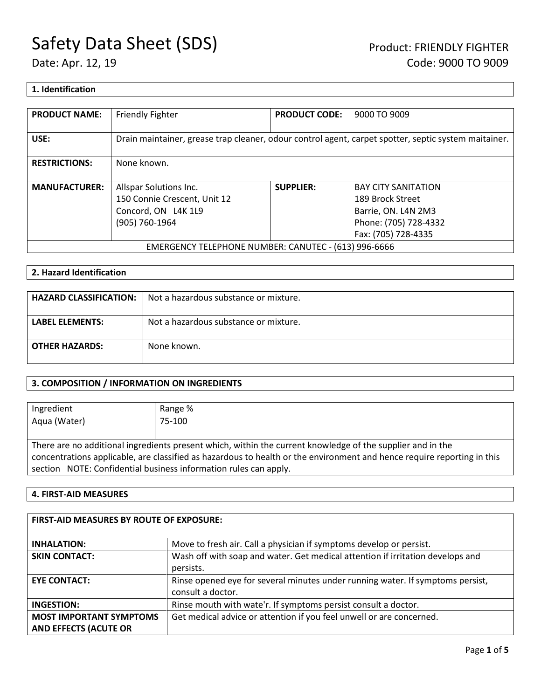## **1. Identification**

| <b>PRODUCT NAME:</b>                                 | <b>Friendly Fighter</b>                                                                              | <b>PRODUCT CODE:</b> | 9000 TO 9009                            |
|------------------------------------------------------|------------------------------------------------------------------------------------------------------|----------------------|-----------------------------------------|
| USE:                                                 | Drain maintainer, grease trap cleaner, odour control agent, carpet spotter, septic system maitainer. |                      |                                         |
| <b>RESTRICTIONS:</b>                                 | None known.                                                                                          |                      |                                         |
| <b>MANUFACTURER:</b>                                 | Allspar Solutions Inc.                                                                               | <b>SUPPLIER:</b>     | <b>BAY CITY SANITATION</b>              |
|                                                      | 150 Connie Crescent, Unit 12                                                                         |                      | 189 Brock Street<br>Barrie, ON. L4N 2M3 |
|                                                      | Concord, ON L4K 1L9<br>(905) 760-1964                                                                |                      | Phone: (705) 728-4332                   |
|                                                      |                                                                                                      |                      | Fax: (705) 728-4335                     |
| EMERGENCY TELEPHONE NUMBER: CANUTEC - (613) 996-6666 |                                                                                                      |                      |                                         |

## **2. Hazard Identification**

| <b>HAZARD CLASSIFICATION:</b> | Not a hazardous substance or mixture. |
|-------------------------------|---------------------------------------|
| <b>LABEL ELEMENTS:</b>        | Not a hazardous substance or mixture. |
| <b>OTHER HAZARDS:</b>         | None known.                           |

## **3. COMPOSITION / INFORMATION ON INGREDIENTS**

| Ingredient                                                                                                              | Range % |  |  |
|-------------------------------------------------------------------------------------------------------------------------|---------|--|--|
| Aqua (Water)                                                                                                            | 75-100  |  |  |
|                                                                                                                         |         |  |  |
| There are no additional ingredients present which, within the current knowledge of the supplier and in the              |         |  |  |
| concentrations applicable, are classified as hazardous to health or the environment and hence require reporting in this |         |  |  |
| section NOTE: Confidential business information rules can apply.                                                        |         |  |  |

### **4. FIRST-AID MEASURES**

| <b>FIRST-AID MEASURES BY ROUTE OF EXPOSURE:</b>                |                                                                                                     |  |  |
|----------------------------------------------------------------|-----------------------------------------------------------------------------------------------------|--|--|
| <b>INHALATION:</b>                                             | Move to fresh air. Call a physician if symptoms develop or persist.                                 |  |  |
| <b>SKIN CONTACT:</b>                                           | Wash off with soap and water. Get medical attention if irritation develops and<br>persists.         |  |  |
| <b>EYE CONTACT:</b>                                            | Rinse opened eye for several minutes under running water. If symptoms persist,<br>consult a doctor. |  |  |
| INGESTION:                                                     | Rinse mouth with wate'r. If symptoms persist consult a doctor.                                      |  |  |
| <b>MOST IMPORTANT SYMPTOMS</b><br><b>AND EFFECTS (ACUTE OR</b> | Get medical advice or attention if you feel unwell or are concerned.                                |  |  |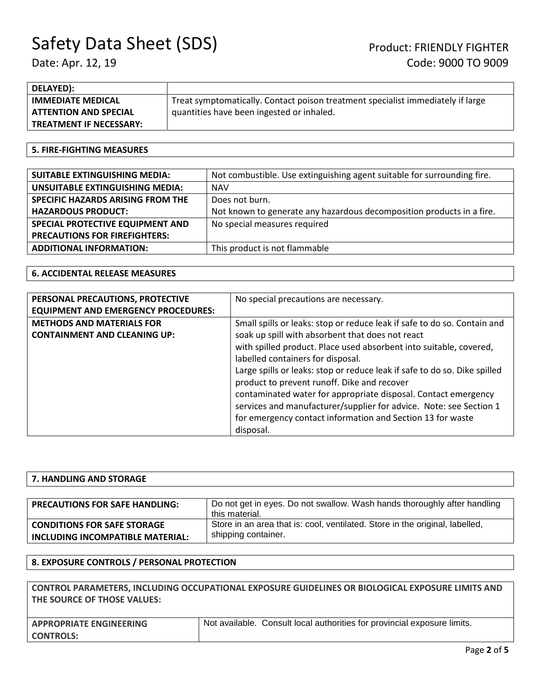| DELAYED):                      |                                                                                 |
|--------------------------------|---------------------------------------------------------------------------------|
| <b>IMMEDIATE MEDICAL</b>       | Treat symptomatically. Contact poison treatment specialist immediately if large |
| <b>ATTENTION AND SPECIAL</b>   | quantities have been ingested or inhaled.                                       |
| <b>TREATMENT IF NECESSARY:</b> |                                                                                 |

### **5. FIRE-FIGHTING MEASURES**

| <b>SUITABLE EXTINGUISHING MEDIA:</b>   | Not combustible. Use extinguishing agent suitable for surrounding fire. |
|----------------------------------------|-------------------------------------------------------------------------|
| <b>UNSUITABLE EXTINGUISHING MEDIA:</b> | <b>NAV</b>                                                              |
| SPECIFIC HAZARDS ARISING FROM THE      | Does not burn.                                                          |
| <b>HAZARDOUS PRODUCT:</b>              | Not known to generate any hazardous decomposition products in a fire.   |
| SPECIAL PROTECTIVE EQUIPMENT AND       | No special measures required                                            |
| <b>PRECAUTIONS FOR FIREFIGHTERS:</b>   |                                                                         |
| <b>ADDITIONAL INFORMATION:</b>         | This product is not flammable                                           |

## **6. ACCIDENTAL RELEASE MEASURES**

| PERSONAL PRECAUTIONS, PROTECTIVE<br><b>EQUIPMENT AND EMERGENCY PROCEDURES:</b> | No special precautions are necessary.                                                                                                                                                                                                                                                                                                                                                                                                                                                                                                                                     |
|--------------------------------------------------------------------------------|---------------------------------------------------------------------------------------------------------------------------------------------------------------------------------------------------------------------------------------------------------------------------------------------------------------------------------------------------------------------------------------------------------------------------------------------------------------------------------------------------------------------------------------------------------------------------|
| <b>METHODS AND MATERIALS FOR</b><br><b>CONTAINMENT AND CLEANING UP:</b>        | Small spills or leaks: stop or reduce leak if safe to do so. Contain and<br>soak up spill with absorbent that does not react<br>with spilled product. Place used absorbent into suitable, covered,<br>labelled containers for disposal.<br>Large spills or leaks: stop or reduce leak if safe to do so. Dike spilled<br>product to prevent runoff. Dike and recover<br>contaminated water for appropriate disposal. Contact emergency<br>services and manufacturer/supplier for advice. Note: see Section 1<br>for emergency contact information and Section 13 for waste |
|                                                                                | disposal.                                                                                                                                                                                                                                                                                                                                                                                                                                                                                                                                                                 |

| 7. HANDLING AND STORAGE               |                                                                              |  |  |
|---------------------------------------|------------------------------------------------------------------------------|--|--|
|                                       |                                                                              |  |  |
| <b>PRECAUTIONS FOR SAFE HANDLING:</b> | Do not get in eyes. Do not swallow. Wash hands thoroughly after handling     |  |  |
|                                       | this material.                                                               |  |  |
| <b>CONDITIONS FOR SAFE STORAGE</b>    | Store in an area that is: cool, ventilated. Store in the original, labelled, |  |  |
| INCLUDING INCOMPATIBLE MATERIAL:      | shipping container.                                                          |  |  |

### **8. EXPOSURE CONTROLS / PERSONAL PROTECTION**

| CONTROL PARAMETERS, INCLUDING OCCUPATIONAL EXPOSURE GUIDELINES OR BIOLOGICAL EXPOSURE LIMITS AND |
|--------------------------------------------------------------------------------------------------|
| THE SOURCE OF THOSE VALUES:                                                                      |

| <b>APPROPRIATE ENGINEERING</b> | Not available. Consult local authorities for provincial exposure limits. |
|--------------------------------|--------------------------------------------------------------------------|
| <b>CONTROLS:</b>               |                                                                          |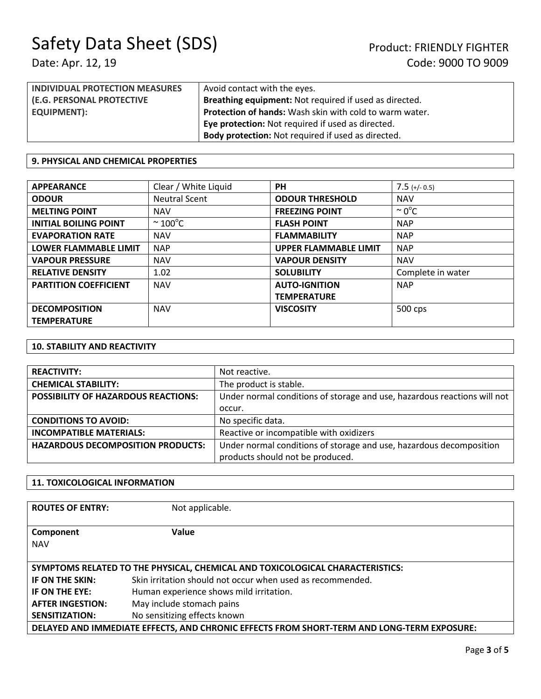| <b>INDIVIDUAL PROTECTION MEASURES</b> | Avoid contact with the eyes.                                   |  |
|---------------------------------------|----------------------------------------------------------------|--|
| (E.G. PERSONAL PROTECTIVE             | <b>Breathing equipment:</b> Not required if used as directed.  |  |
| <b>EQUIPMENT):</b>                    | <b>Protection of hands:</b> Wash skin with cold to warm water. |  |
|                                       | <b>Eye protection:</b> Not required if used as directed.       |  |
|                                       | <b>Body protection:</b> Not required if used as directed.      |  |

### **9. PHYSICAL AND CHEMICAL PROPERTIES**

| <b>APPEARANCE</b>            | Clear / White Liquid    | <b>PH</b>                    | $7.5$ (+/- 0.5)    |
|------------------------------|-------------------------|------------------------------|--------------------|
| <b>ODOUR</b>                 | <b>Neutral Scent</b>    | <b>ODOUR THRESHOLD</b>       | <b>NAV</b>         |
| <b>MELTING POINT</b>         | <b>NAV</b>              | <b>FREEZING POINT</b>        | $\sim 0^{\circ}$ C |
| <b>INITIAL BOILING POINT</b> | $\sim$ 100 $^{\circ}$ C | <b>FLASH POINT</b>           | <b>NAP</b>         |
| <b>EVAPORATION RATE</b>      | <b>NAV</b>              | <b>FLAMMABILITY</b>          | <b>NAP</b>         |
| <b>LOWER FLAMMABLE LIMIT</b> | <b>NAP</b>              | <b>UPPER FLAMMABLE LIMIT</b> | <b>NAP</b>         |
| <b>VAPOUR PRESSURE</b>       | <b>NAV</b>              | <b>VAPOUR DENSITY</b>        | <b>NAV</b>         |
| <b>RELATIVE DENSITY</b>      | 1.02                    | <b>SOLUBILITY</b>            | Complete in water  |
| <b>PARTITION COEFFICIENT</b> | <b>NAV</b>              | <b>AUTO-IGNITION</b>         | <b>NAP</b>         |
|                              |                         | <b>TEMPERATURE</b>           |                    |
| <b>DECOMPOSITION</b>         | <b>NAV</b>              | <b>VISCOSITY</b>             | 500 cps            |
| <b>TEMPERATURE</b>           |                         |                              |                    |

### **10. STABILITY AND REACTIVITY**

| <b>REACTIVITY:</b>                       | Not reactive.                                                            |
|------------------------------------------|--------------------------------------------------------------------------|
| <b>CHEMICAL STABILITY:</b>               | The product is stable.                                                   |
| POSSIBILITY OF HAZARDOUS REACTIONS:      | Under normal conditions of storage and use, hazardous reactions will not |
|                                          | occur.                                                                   |
| <b>CONDITIONS TO AVOID:</b>              | No specific data.                                                        |
| <b>INCOMPATIBLE MATERIALS:</b>           | Reactive or incompatible with oxidizers                                  |
| <b>HAZARDOUS DECOMPOSITION PRODUCTS:</b> | Under normal conditions of storage and use, hazardous decomposition      |
|                                          | products should not be produced.                                         |

### **11. TOXICOLOGICAL INFORMATION**

| <b>ROUTES OF ENTRY:</b>                                                                    | Not applicable.                                                               |  |
|--------------------------------------------------------------------------------------------|-------------------------------------------------------------------------------|--|
| Component<br><b>NAV</b>                                                                    | Value                                                                         |  |
|                                                                                            | SYMPTOMS RELATED TO THE PHYSICAL, CHEMICAL AND TOXICOLOGICAL CHARACTERISTICS: |  |
| IF ON THE SKIN:                                                                            | Skin irritation should not occur when used as recommended.                    |  |
| IF ON THE EYE:                                                                             | Human experience shows mild irritation.                                       |  |
| <b>AFTER INGESTION:</b>                                                                    | May include stomach pains                                                     |  |
| <b>SENSITIZATION:</b>                                                                      | No sensitizing effects known                                                  |  |
| DELAYED AND IMMEDIATE EFFECTS, AND CHRONIC EFFECTS FROM SHORT-TERM AND LONG-TERM EXPOSURE: |                                                                               |  |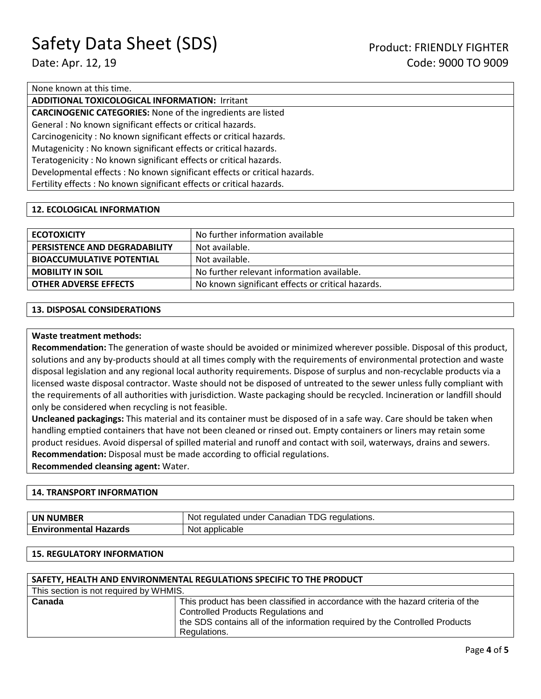## None known at this time.

## **ADDITIONAL TOXICOLOGICAL INFORMATION:** Irritant

**CARCINOGENIC CATEGORIES:** None of the ingredients are listed

General : No known significant effects or critical hazards.

Carcinogenicity : No known significant effects or critical hazards.

Mutagenicity : No known significant effects or critical hazards.

Teratogenicity : No known significant effects or critical hazards.

Developmental effects : No known significant effects or critical hazards.

Fertility effects : No known significant effects or critical hazards.

### **12. ECOLOGICAL INFORMATION**

| <b>ECOTOXICITY</b>               | No further information available                  |
|----------------------------------|---------------------------------------------------|
| PERSISTENCE AND DEGRADABILITY    | Not available.                                    |
| <b>BIOACCUMULATIVE POTENTIAL</b> | Not available.                                    |
| <b>MOBILITY IN SOIL</b>          | No further relevant information available.        |
| <b>OTHER ADVERSE EFFECTS</b>     | No known significant effects or critical hazards. |

### **13. DISPOSAL CONSIDERATIONS**

### **Waste treatment methods:**

**Recommendation:** The generation of waste should be avoided or minimized wherever possible. Disposal of this product, solutions and any by-products should at all times comply with the requirements of environmental protection and waste disposal legislation and any regional local authority requirements. Dispose of surplus and non-recyclable products via a licensed waste disposal contractor. Waste should not be disposed of untreated to the sewer unless fully compliant with the requirements of all authorities with jurisdiction. Waste packaging should be recycled. Incineration or landfill should only be considered when recycling is not feasible.

**Uncleaned packagings:** This material and its container must be disposed of in a safe way. Care should be taken when handling emptied containers that have not been cleaned or rinsed out. Empty containers or liners may retain some product residues. Avoid dispersal of spilled material and runoff and contact with soil, waterways, drains and sewers. **Recommendation:** Disposal must be made according to official regulations. **Recommended cleansing agent:** Water.

#### **14. TRANSPORT INFORMATION**

| <b>UN NUMBER</b>             | TDG regulations.<br>Not regulated under Canadian |
|------------------------------|--------------------------------------------------|
| <b>Environmental Hazards</b> | Not applicable                                   |

#### **15. REGULATORY INFORMATION**

| SAFETY, HEALTH AND ENVIRONMENTAL REGULATIONS SPECIFIC TO THE PRODUCT |                                                                                |  |
|----------------------------------------------------------------------|--------------------------------------------------------------------------------|--|
| This section is not required by WHMIS.                               |                                                                                |  |
| Canada                                                               | This product has been classified in accordance with the hazard criteria of the |  |
|                                                                      | <b>Controlled Products Regulations and</b>                                     |  |
|                                                                      | the SDS contains all of the information required by the Controlled Products    |  |
|                                                                      | Regulations.                                                                   |  |